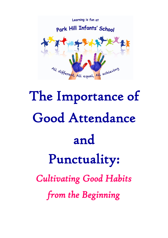

# The Importance of Good Attendance and Punctuality: *Cultivating Good Habits from the Beginning*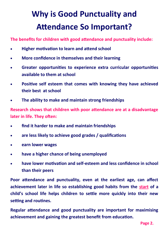## **Why is Good Punctuality and Attendance So Important?**

**The benefits for children with good attendance and punctuality include:**

- **Higher motivation to learn and attend school**
- **More confidence in themselves and their learning**
- **Greater opportunities to experience extra curricular opportunities available to them at school**
- **Positive self esteem that comes with knowing they have achieved their best at school**
- **The ability to make and maintain strong friendships**

**Research shows that children with poor attendance are at a disadvantage later in life. They often:** 

- **find it harder to make and maintain friendships**
- **are less likely to achieve good grades / qualifications**
- **earn lower wages**
- **have a higher chance of being unemployed**
- **have lower motivation and self-esteem and less confidence in school than their peers**

**Poor attendance and punctuality, even at the earliest age, can affect achievement later in life so establishing good habits from the start of a child's school life helps children to settle more quickly into their new setting and routines.** 

**Regular attendance and good punctuality are important for maximising achievement and gaining the greatest benefit from education.**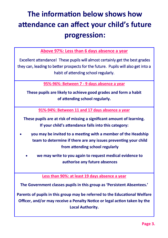#### **The information below shows how attendance can affect your child's future progression:**

**Above 97%: Less than 6 days absence a year**

 Excellent attendance! These pupils will almost certainly get the best grades they can, leading to better prospects for the future. Pupils will also get into a habit of attending school regularly.

**95%-96%: Between 7 - 9 days absence a year**

**These pupils are likely to achieve good grades and form a habit of attending school regularly.**

**91%-94%: Between 11 and 17 days absence a year**

**These pupils are at risk of missing a significant amount of learning. If your child's attendance falls into this category:**

- **you may be invited to a meeting with a member of the Headship team to determine if there are any issues preventing your child from attending school regularly**
	- **we may write to you again to request medical evidence to authorise any future absences**

**Less than 90%: at least 19 days absence a year**

**The Government classes pupils in this group as 'Persistent Absentees.'** 

**Parents of pupils in this group may be referred to the Educational Welfare Officer, and/or may receive a Penalty Notice or legal action taken by the Local Authority.**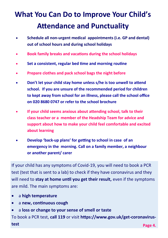#### **What You Can Do to Improve Your Child's Attendance and Punctuality**

- **Schedule all non-urgent medical appointments (i.e. GP and dental) out of school hours and during school holidays**
- **Book family breaks and vacations during the school holidays**
- **Set a consistent, regular bed time and morning routine**
- **Prepare clothes and pack school bags the night before**
- **Don't let your child stay home unless s/he is too unwell to attend school. If you are unsure of the recommended period for children to kept away from school for an illness, please call the school office on 020 8680 0747 or refer to the school brochure**
- **If your child seems anxious about attending school, talk to their class teacher or a member of the Headship Team for advice and support about how to make your child feel comfortable and excited about learning**
- **Develop 'back-up plans' for getting to school in case of an emergency in the morning. Call on a family member, a neighbour or another parent/ carer**

If your child has any symptoms of Covid-19, you will need to book a PCR test (test that is sent to a lab) to check if they have coronavirus and they will need to **stay at home until you get their result,** even if the symptoms are mild. The main symptoms are:

- a **high temperature**
- a **new, continuous cough**
- a **loss or change to your sense of smell or taste**

To book a PCR test, **call 119** or visit **https://www.gov.uk/get-coronavirustest Page 4.**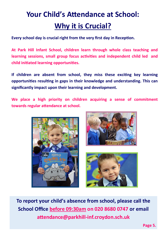#### **Your Child's Attendance at School: Why it is Crucial?**

**Every school day is crucial right from the very first day in Reception.** 

**At Park Hill Infant School, children learn through whole class teaching and learning sessions, small group focus activities and independent child led and child initiated learning opportunities.**

**If children are absent from school, they miss these exciting key learning opportunities resulting in gaps in their knowledge and understanding. This can significantly impact upon their learning and development.** 

**We place a high priority on children acquiring a sense of commitment towards regular attendance at school.** 







**To report your child's absence from school, please call the School Office before 09:30am on 020 8680 0747 or email attendance@parkhill-inf.croydon.sch.uk** 

**Page 5.**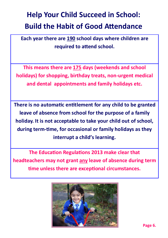#### **Help Your Child Succeed in School: Build the Habit of Good Attendance**

**Each year there are 190 school days where children are required to attend school.** 

**This means there are 175 days (weekends and school holidays) for shopping, birthday treats, non-urgent medical and dental appointments and family holidays etc.** 

**There is no automatic entitlement for any child to be granted leave of absence from school for the purpose of a family holiday. It is not acceptable to take your child out of school, during term-time, for occasional or family holidays as they interrupt a child's learning.** 

**The Education Regulations 2013 make clear that headteachers may not grant any leave of absence during term time unless there are exceptional circumstances.** 

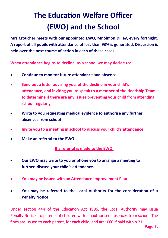#### **The Education Welfare Officer (EWO) and the School**

**Mrs Croucher meets with our appointed EWO, Mr Simon Dilley, every fortnight. A report of all pupils with attendance of less than 93% is generated. Discussion is held over the next course of action in each of these cases.** 

**When attendance begins to decline, as a school we may decide to:**

- **Continue to monitor future attendance and absence**
- **Send out a letter advising you of the decline in your child's attendance, and inviting you to speak to a member of the Headship Team to determine if there are any issues preventing your child from attending school regularly**
- **Write to you requesting medical evidence to authorise any further absences from school**
- **Invite you to a meeting in school to discuss your child's attendance**
- **Make an referral to the EWO**

**If a referral is made to the EWO:** 

- **Our EWO may write to you or phone you to arrange a meeting to further discuss your child's attendance.**
- **You may be issued with an Attendance Improvement Plan**
- **You may be referred to the Local Authority for the consideration of a Penalty Notice.**

Under section 444 of the Education Act 1996, the Local Authority may issue Penalty Notices to parents of children with unauthorised absences from school. The fines are issued to each parent, for each child, and are: £60 if paid within 21